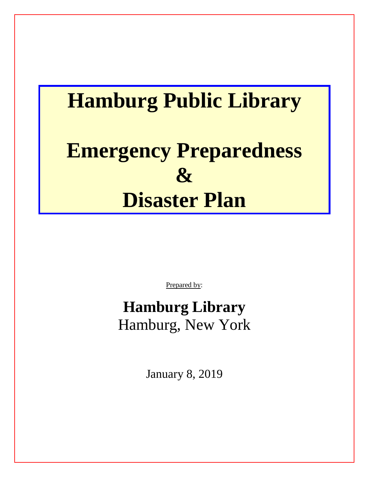# **Hamburg Public Library Emergency Preparedness & Disaster Plan**

Prepared by:

# **Hamburg Library** Hamburg, New York

January 8, 2019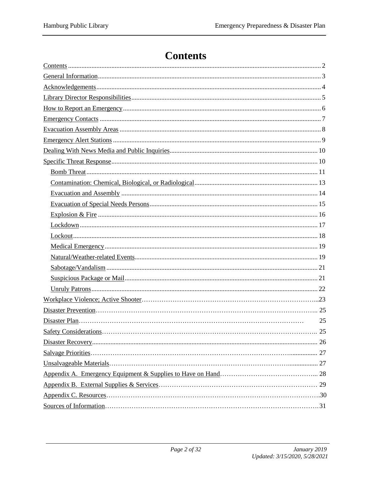# **Contents**

<span id="page-1-0"></span>

| 25 |
|----|
| 25 |
|    |
|    |
|    |
|    |
|    |
|    |
|    |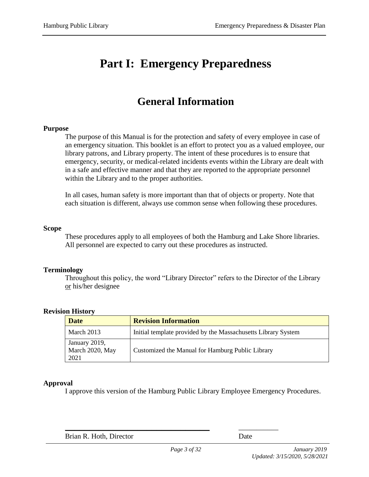# **Part I: Emergency Preparedness**

# **General Information**

#### <span id="page-2-0"></span>**Purpose**

The purpose of this Manual is for the protection and safety of every employee in case of an emergency situation. This booklet is an effort to protect you as a valued employee, our library patrons, and Library property. The intent of these procedures is to ensure that emergency, security, or medical-related incidents events within the Library are dealt with in a safe and effective manner and that they are reported to the appropriate personnel within the Library and to the proper authorities.

In all cases, human safety is more important than that of objects or property. Note that each situation is different, always use common sense when following these procedures.

#### **Scope**

These procedures apply to all employees of both the Hamburg and Lake Shore libraries. All personnel are expected to carry out these procedures as instructed.

#### **Terminology**

Throughout this policy, the word "Library Director" refers to the Director of the Library or his/her designee

| <b>Date</b>                              | <b>Revision Information</b>                                   |
|------------------------------------------|---------------------------------------------------------------|
| March 2013                               | Initial template provided by the Massachusetts Library System |
| January 2019,<br>March 2020, May<br>2021 | Customized the Manual for Hamburg Public Library              |

#### **Approval**

I approve this version of the Hamburg Public Library Employee Emergency Procedures.

Brian R. Hoth, Director Date

**\_\_\_\_\_\_\_\_\_\_\_\_\_\_\_\_\_\_\_\_\_\_\_\_\_\_\_\_\_\_** \_\_\_\_\_\_\_\_\_\_\_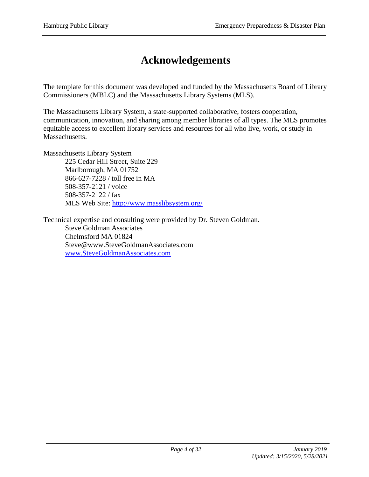# **Acknowledgements**

<span id="page-3-0"></span>The template for this document was developed and funded by the Massachusetts Board of Library Commissioners (MBLC) and the Massachusetts Library Systems (MLS).

The Massachusetts Library System, a state-supported collaborative, fosters cooperation, communication, innovation, and sharing among member libraries of all types. The MLS promotes equitable access to excellent library services and resources for all who live, work, or study in Massachusetts.

Massachusetts Library System 225 Cedar Hill Street, Suite 229 Marlborough, MA 01752 866-627-7228 / toll free in MA 508-357-2121 / voice 508-357-2122 / fax MLS Web Site:<http://www.masslibsystem.org/>

Technical expertise and consulting were provided by Dr. Steven Goldman. Steve Goldman Associates Chelmsford MA 01824 Steve@www.SteveGoldmanAssociates.com [www.SteveGoldmanAssociates.com](http://www.stevegoldmanassociates.com/)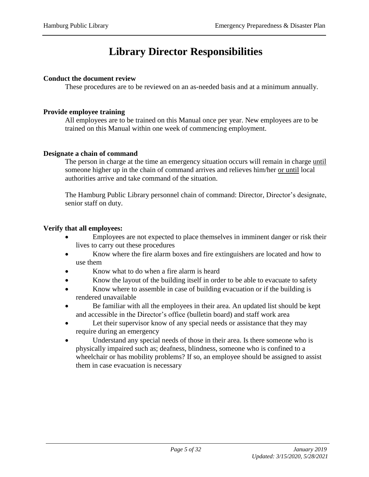# **Library Director Responsibilities**

#### <span id="page-4-0"></span>**Conduct the document review**

These procedures are to be reviewed on an as-needed basis and at a minimum annually.

#### **Provide employee training**

All employees are to be trained on this Manual once per year. New employees are to be trained on this Manual within one week of commencing employment.

#### **Designate a chain of command**

The person in charge at the time an emergency situation occurs will remain in charge until someone higher up in the chain of command arrives and relieves him/her or until local authorities arrive and take command of the situation.

The Hamburg Public Library personnel chain of command: Director, Director's designate, senior staff on duty.

#### **Verify that all employees:**

- Employees are not expected to place themselves in imminent danger or risk their lives to carry out these procedures
- Know where the fire alarm boxes and fire extinguishers are located and how to use them
- Know what to do when a fire alarm is heard
- Know the layout of the building itself in order to be able to evacuate to safety
- Know where to assemble in case of building evacuation or if the building is rendered unavailable
- Be familiar with all the employees in their area. An updated list should be kept and accessible in the Director's office (bulletin board) and staff work area
- Let their supervisor know of any special needs or assistance that they may require during an emergency
- Understand any special needs of those in their area. Is there someone who is physically impaired such as; deafness, blindness, someone who is confined to a wheelchair or has mobility problems? If so, an employee should be assigned to assist them in case evacuation is necessary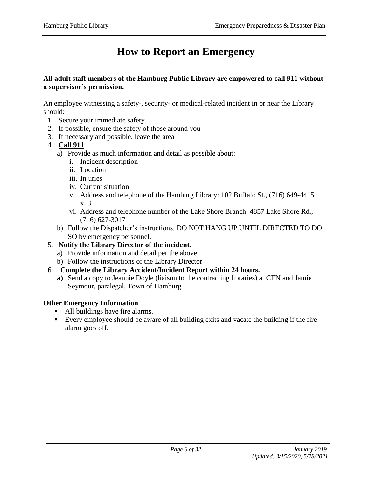# **How to Report an Emergency**

#### <span id="page-5-0"></span>**All adult staff members of the Hamburg Public Library are empowered to call 911 without a supervisor's permission.**

An employee witnessing a safety-, security- or medical-related incident in or near the Library should:

- 1. Secure your immediate safety
- 2. If possible, ensure the safety of those around you
- 3. If necessary and possible, leave the area
- 4. **Call 911**
	- a) Provide as much information and detail as possible about:
		- i. Incident description
		- ii. Location
		- iii. Injuries
		- iv. Current situation
		- v. Address and telephone of the Hamburg Library: 102 Buffalo St., (716) 649-4415 x. 3
		- vi. Address and telephone number of the Lake Shore Branch: 4857 Lake Shore Rd., (716) 627-3017
	- b) Follow the Dispatcher's instructions. DO NOT HANG UP UNTIL DIRECTED TO DO SO by emergency personnel.
- 5. **Notify the Library Director of the incident.**
	- a) Provide information and detail per the above
	- b) Follow the instructions of the Library Director
- 6. **Complete the Library Accident/Incident Report within 24 hours.**
	- **a)** Send a copy to Jeannie Doyle (liaison to the contracting libraries) at CEN and Jamie Seymour, paralegal, Town of Hamburg

#### **Other Emergency Information**

- All buildings have fire alarms.
- Every employee should be aware of all building exits and vacate the building if the fire alarm goes off.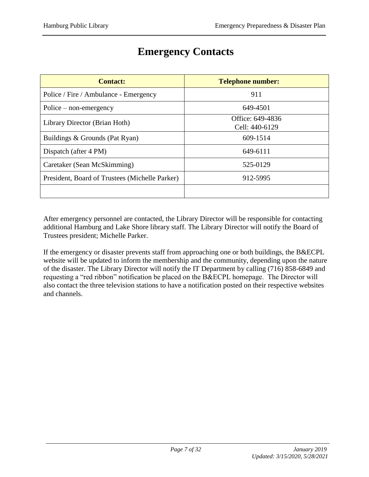<span id="page-6-0"></span>

| <b>Contact:</b>                                | <b>Telephone number:</b>           |
|------------------------------------------------|------------------------------------|
| Police / Fire / Ambulance - Emergency          | 911                                |
| $Police - non-emergency$                       | 649-4501                           |
| Library Director (Brian Hoth)                  | Office: 649-4836<br>Cell: 440-6129 |
| Buildings & Grounds (Pat Ryan)                 | 609-1514                           |
| Dispatch (after 4 PM)                          | 649-6111                           |
| Caretaker (Sean McSkimming)                    | 525-0129                           |
| President, Board of Trustees (Michelle Parker) | 912-5995                           |
|                                                |                                    |

### **Emergency Contacts**

After emergency personnel are contacted, the Library Director will be responsible for contacting additional Hamburg and Lake Shore library staff. The Library Director will notify the Board of Trustees president; Michelle Parker.

If the emergency or disaster prevents staff from approaching one or both buildings, the B&ECPL website will be updated to inform the membership and the community, depending upon the nature of the disaster. The Library Director will notify the IT Department by calling (716) 858-6849 and requesting a "red ribbon" notification be placed on the B&ECPL homepage. The Director will also contact the three television stations to have a notification posted on their respective websites and channels.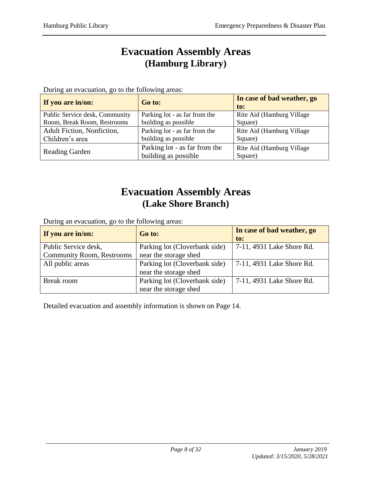### **Evacuation Assembly Areas (Hamburg Library)**

<span id="page-7-0"></span>During an evacuation, go to the following areas:

| If you are in/on:              | Go to:                        | In case of bad weather, go<br>to: |
|--------------------------------|-------------------------------|-----------------------------------|
| Public Service desk, Community | Parking lot - as far from the | Rite Aid (Hamburg Village)        |
| Room, Break Room, Restrooms    | building as possible          | Square)                           |
| Adult Fiction, Nonfiction,     | Parking lot - as far from the | Rite Aid (Hamburg Village)        |
| Children's area                | building as possible          | Square)                           |
|                                | Parking lot - as far from the | Rite Aid (Hamburg Village)        |
| <b>Reading Garden</b>          | building as possible          | Square)                           |

### **Evacuation Assembly Areas (Lake Shore Branch)**

During an evacuation, go to the following areas:

| If you are in/on:                | Go to:                        | In case of bad weather, go |
|----------------------------------|-------------------------------|----------------------------|
|                                  |                               | to:                        |
| Public Service desk,             | Parking lot (Cloverbank side) | 7-11, 4931 Lake Shore Rd.  |
| <b>Community Room, Restrooms</b> | near the storage shed         |                            |
| All public areas                 | Parking lot (Cloverbank side) | 7-11, 4931 Lake Shore Rd.  |
|                                  | near the storage shed         |                            |
| Break room                       | Parking lot (Cloverbank side) | 7-11, 4931 Lake Shore Rd.  |
|                                  | near the storage shed         |                            |

Detailed evacuation and assembly information is shown on Page 14.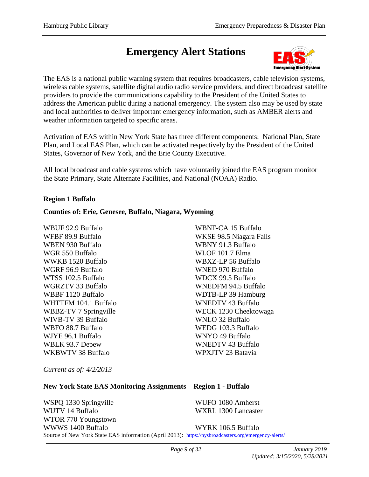# <span id="page-8-0"></span>**Emergency Alert Stations**



The EAS is a national public warning system that requires broadcasters, cable television systems, wireless cable systems, satellite digital audio radio service providers, and direct broadcast satellite providers to provide the communications capability to the President of the United States to address the American public during a national emergency. The system also may be used by state and local authorities to deliver important emergency information, such as AMBER alerts and weather information targeted to specific areas.

Activation of EAS within New York State has three different components: National Plan, State Plan, and Local EAS Plan, which can be activated respectively by the President of the United States, Governor of New York, and the Erie County Executive.

All local broadcast and cable systems which have voluntarily joined the EAS program monitor the State Primary, State Alternate Facilities, and National (NOAA) Radio.

#### **Region 1 Buffalo**

#### **Counties of: Erie, Genesee, Buffalo, Niagara, Wyoming**

WBUF 92.9 Buffalo WFBF 89.9 Buffalo WBEN 930 Buffalo WGR 550 Buffalo WWKB 1520 Buffalo WGRF 96.9 Buffalo WTSS 102.5 Buffalo WGRZTV 33 Buffalo WBBF 1120 Buffalo WHTTFM 104.1 Buffalo WBBZ-TV 7 Springville WIVB-TV 39 Buffalo WBFO 88.7 Buffalo WJYE 96.1 Buffalo WBLK 93.7 Depew WKBWTV 38 Buffalo

WBNF-CA 15 Buffalo WKSE 98.5 Niagara Falls WBNY 91.3 Buffalo WLOF 101.7 Elma WBXZ-LP 56 Buffalo WNED 970 Buffalo WDCX 99.5 Buffalo WNEDFM 94.5 Buffalo WDTB-LP 39 Hamburg WNEDTV 43 Buffalo WECK 1230 Cheektowaga WNLO 32 Buffalo WEDG 103.3 Buffalo WNYO 49 Buffalo WNEDTV 43 Buffalo WPXJTV 23 Batavia

*Current as of: 4/2/2013* 

#### **New York State EAS Monitoring Assignments – Region 1 - Buffalo**

WSPQ 1330 Springville WUTV 14 Buffalo WTOR 770 Youngstown WWWS 1400 Buffalo WUFO 1080 Amherst WXRL 1300 Lancaster WYRK 106.5 Buffalo Source of New York State EAS information (April 2013): <https://nysbroadcasters.org/emergency-alerts/>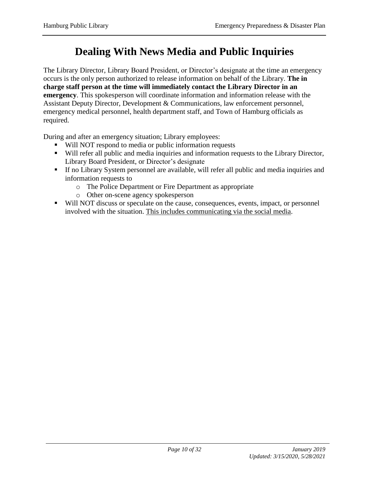# **Dealing With News Media and Public Inquiries**

<span id="page-9-0"></span>The Library Director, Library Board President, or Director's designate at the time an emergency occurs is the only person authorized to release information on behalf of the Library. **The in charge staff person at the time will immediately contact the Library Director in an emergency**. This spokesperson will coordinate information and information release with the Assistant Deputy Director, Development & Communications, law enforcement personnel, emergency medical personnel, health department staff, and Town of Hamburg officials as required.

During and after an emergency situation; Library employees:

- Will NOT respond to media or public information requests
- Will refer all public and media inquiries and information requests to the Library Director, Library Board President, or Director's designate
- If no Library System personnel are available, will refer all public and media inquiries and information requests to
	- o The Police Department or Fire Department as appropriate
	- o Other on-scene agency spokesperson
- Will NOT discuss or speculate on the cause, consequences, events, impact, or personnel involved with the situation. This includes communicating via the social media.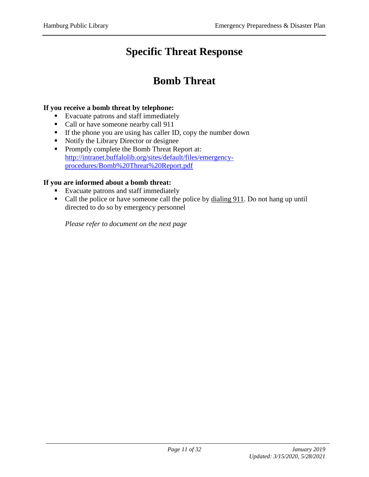# **Specific Threat Response**

### **Bomb Threat**

#### <span id="page-10-1"></span><span id="page-10-0"></span>**If you receive a bomb threat by telephone:**

- Evacuate patrons and staff immediately
- Call or have someone nearby call 911
- If the phone you are using has caller ID, copy the number down
- Notify the Library Director or designee
- **Promptly complete the Bomb Threat Report at:** [http://intranet.buffalolib.org/sites/default/files/emergency](http://intranet.buffalolib.org/sites/default/files/emergency-procedures/Bomb%20Threat%20Report.pdf)[procedures/Bomb%20Threat%20Report.pdf](http://intranet.buffalolib.org/sites/default/files/emergency-procedures/Bomb%20Threat%20Report.pdf)

#### **If you are informed about a bomb threat:**

- **Evacuate patrons and staff immediately**
- Call the police or have someone call the police by dialing 911. Do not hang up until directed to do so by emergency personnel

*Please refer to document on the next page*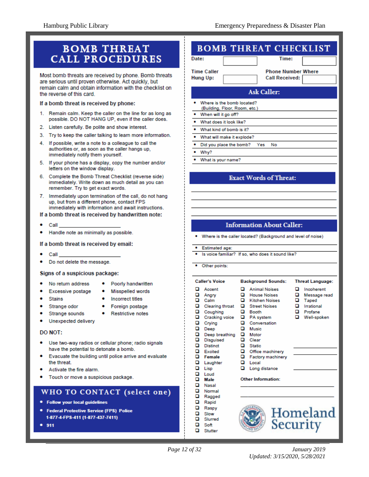### **BOMB THREAT CALL PROCEDURES**

Most bomb threats are received by phone. Bomb threats are serious until proven otherwise. Act quickly, but remain calm and obtain information with the checklist on the reverse of this card.

#### If a bomb threat is received by phone:

- 1. Remain calm. Keep the caller on the line for as long as possible. DO NOT HANG UP, even if the caller does.
- 2. Listen carefully. Be polite and show interest.
- 3. Try to keep the caller talking to learn more information.
- 4. If possible, write a note to a colleague to call the authorities or, as soon as the caller hangs up, immediately notify them yourself.
- 5. If your phone has a display, copy the number and/or letters on the window display.
- 6. Complete the Bomb Threat Checklist (reverse side) immediately. Write down as much detail as you can remember. Try to get exact words.
- 7. Immediately upon termination of the call, do not hang up, but from a different phone, contact FPS immediately with information and await instructions.
- If a bomb threat is received by handwritten note:
- Call
- Handle note as minimally as possible.

If a bomb threat is received by email:

- Call
- Do not delete the message.

#### Signs of a suspicious package:

- No return address
- Poorly handwritten
- Excessive postage
- Misspelled words

Foreign postage

- **Stains**
- Incorrect titles
- Strange odor
- Strange sounds
- Unexpected delivery

#### DO NOT:

- Use two-way radios or cellular phone; radio signals have the potential to detonate a bomb.
- Evacuate the building until police arrive and evaluate the threat.
- Activate the fire alarm
- Touch or move a suspicious package.

#### WHO TO CONTACT (select one)

- · Follow your local guidelines
- **Federal Protective Service (FPS) Police** 1-877-4-FPS-411 (1-877-437-7411)
- 911

### **BOMB THREAT CHECKLIST**

| Date: |                          |  |
|-------|--------------------------|--|
|       | $\overline{\phantom{a}}$ |  |

**Time Caller Hung Up:** 

**Phone Number Where** 

Time:

### Call Received:

#### **Ask Caller:**

- Where is the bomb located? (Building, Floor, Room, etc.)  $\bullet$ When will it go off? What does it look like? ٠ What kind of bomb is it? What will make it explode?
- $\bullet$ Yes No
- Did you place the bomb?  $\ddot{\phantom{a}}$
- Why? ٠
- What is your name?

#### **Exact Words of Threat:**

#### **Information About Caller:**

Where is the caller located? (Background and level of noise)

#### · Estimated age:

- Is voice familiar? If so, who does it sound like?
- Other points:

o

о Soft

о

Slurred

Stutter

|                                                | <b>Caller's Voice</b>                                                                                                                   |                                                | <b>Background Sounds:</b>                                                                                                                                     |                       | <b>Threat Language:</b>                                                     |
|------------------------------------------------|-----------------------------------------------------------------------------------------------------------------------------------------|------------------------------------------------|---------------------------------------------------------------------------------------------------------------------------------------------------------------|-----------------------|-----------------------------------------------------------------------------|
| о<br>o<br>o<br>o<br>o<br>o<br>o<br>o<br>o<br>o | Accent<br>Angry<br>Calm<br><b>Clearing throat</b><br>Coughing<br>Cracking voice<br>Crying<br>Deep<br>Deep breathing<br><b>Disguised</b> | о<br>o<br>ם<br>o<br>o<br>o<br>o<br>ם<br>о<br>o | <b>Animal Noises</b><br><b>House Noises</b><br><b>Kitchen Noises</b><br><b>Street Noises</b><br>Booth<br>PA system<br>Conversation<br>Music<br>Motor<br>Clear | o<br>o<br>о<br>o<br>o | Incoherent<br>Message read<br>Taped<br>Irrational<br>Profane<br>Well-spoken |
| ם<br>o<br>o<br>o<br>о<br>o<br>o                | <b>Distinct</b><br>Excited<br>Female<br>Laughter<br>Lisp<br>Loud<br>Male                                                                | ם<br>o<br>o<br>o<br>o                          | <b>Static</b><br>Office machinery<br>Factory machinery<br>Local<br>Long distance<br>Other Information:                                                        |                       |                                                                             |
| o<br>o<br>o<br>o<br>o<br>о                     | Nasal<br>Normal<br>Ragged<br>Rapid<br>Raspy<br>Slow                                                                                     |                                                | Homela:                                                                                                                                                       |                       |                                                                             |



Security

- -
- **Restrictive notes**
- $\bullet$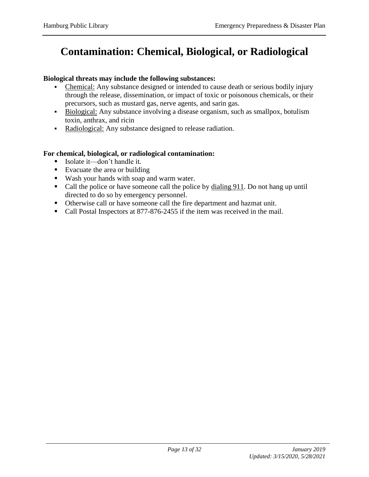# <span id="page-12-0"></span>**Contamination: Chemical, Biological, or Radiological**

#### **Biological threats may include the following substances:**

- Chemical: Any substance designed or intended to cause death or serious bodily injury through the release, dissemination, or impact of toxic or poisonous chemicals, or their precursors, such as mustard gas, nerve agents, and sarin gas.
- Biological: Any substance involving a disease organism, such as smallpox, botulism toxin, anthrax, and ricin
- Radiological: Any substance designed to release radiation.

#### **For chemical, biological, or radiological contamination:**

- Isolate it—don't handle it.
- Evacuate the area or building
- Wash your hands with soap and warm water.
- Call the police or have someone call the police by dialing 911. Do not hang up until directed to do so by emergency personnel.
- Otherwise call or have someone call the fire department and hazmat unit.
- Call Postal Inspectors at 877-876-2455 if the item was received in the mail.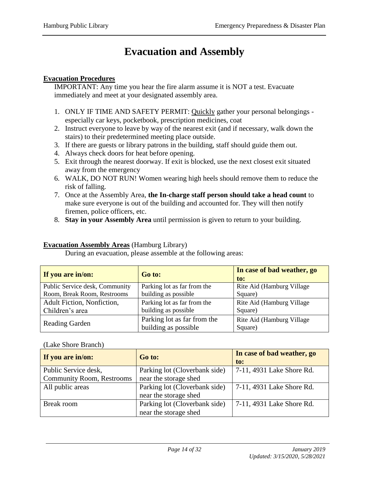# **Evacuation and Assembly**

#### <span id="page-13-0"></span>**Evacuation Procedures**

IMPORTANT: Any time you hear the fire alarm assume it is NOT a test. Evacuate immediately and meet at your designated assembly area.

- 1. ONLY IF TIME AND SAFETY PERMIT: Quickly gather your personal belongings especially car keys, pocketbook, prescription medicines, coat
- 2. Instruct everyone to leave by way of the nearest exit (and if necessary, walk down the stairs) to their predetermined meeting place outside.
- 3. If there are guests or library patrons in the building, staff should guide them out.
- 4. Always check doors for heat before opening.
- 5. Exit through the nearest doorway. If exit is blocked, use the next closest exit situated away from the emergency
- 6. WALK, DO NOT RUN! Women wearing high heels should remove them to reduce the risk of falling.
- 7. Once at the Assembly Area, **the In-charge staff person should take a head count** to make sure everyone is out of the building and accounted for. They will then notify firemen, police officers, etc.
- 8. **Stay in your Assembly Area** until permission is given to return to your building.

#### **Evacuation Assembly Areas** (Hamburg Library)

| If you are in/on:              | Go to:                                              | In case of bad weather, go<br>to:     |
|--------------------------------|-----------------------------------------------------|---------------------------------------|
| Public Service desk, Community | Parking lot as far from the                         | Rite Aid (Hamburg Village)            |
| Room, Break Room, Restrooms    | building as possible                                | Square)                               |
| Adult Fiction, Nonfiction,     | Parking lot as far from the                         | Rite Aid (Hamburg Village)            |
| Children's area                | building as possible                                | Square)                               |
| <b>Reading Garden</b>          | Parking lot as far from the<br>building as possible | Rite Aid (Hamburg Village)<br>Square) |

During an evacuation, please assemble at the following areas:

#### (Lake Shore Branch)

| If you are in/on:                | Go to:                        | In case of bad weather, go |
|----------------------------------|-------------------------------|----------------------------|
|                                  |                               | to:                        |
| Public Service desk,             | Parking lot (Cloverbank side) | 7-11, 4931 Lake Shore Rd.  |
| <b>Community Room, Restrooms</b> | near the storage shed         |                            |
| All public areas                 | Parking lot (Cloverbank side) | 7-11, 4931 Lake Shore Rd.  |
|                                  | near the storage shed         |                            |
| <b>Break</b> room                | Parking lot (Cloverbank side) | 7-11, 4931 Lake Shore Rd.  |
|                                  | near the storage shed         |                            |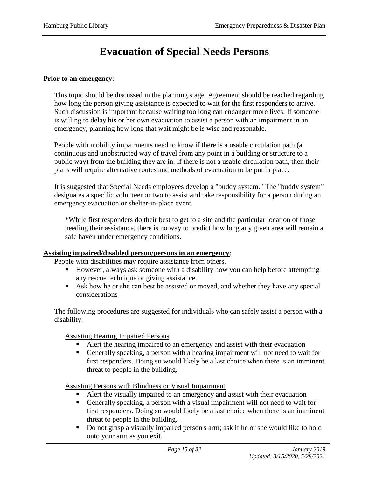### **Evacuation of Special Needs Persons**

#### <span id="page-14-0"></span>**Prior to an emergency**:

This topic should be discussed in the planning stage. Agreement should be reached regarding how long the person giving assistance is expected to wait for the first responders to arrive. Such discussion is important because waiting too long can endanger more lives. If someone is willing to delay his or her own evacuation to assist a person with an impairment in an emergency, planning how long that wait might be is wise and reasonable.

People with mobility impairments need to know if there is a usable circulation path (a continuous and unobstructed way of travel from any point in a building or structure to a public way) from the building they are in. If there is not a usable circulation path, then their plans will require alternative routes and methods of evacuation to be put in place.

It is suggested that Special Needs employees develop a "buddy system." The "buddy system" designates a specific volunteer or two to assist and take responsibility for a person during an emergency evacuation or shelter-in-place event.

\*While first responders do their best to get to a site and the particular location of those needing their assistance, there is no way to predict how long any given area will remain a safe haven under emergency conditions.

#### **Assisting impaired/disabled person/persons in an emergency**:

People with disabilities may require assistance from others.

- However, always ask someone with a disability how you can help before attempting any rescue technique or giving assistance.
- Ask how he or she can best be assisted or moved, and whether they have any special considerations

The following procedures are suggested for individuals who can safely assist a person with a disability:

Assisting Hearing Impaired Persons

- Alert the hearing impaired to an emergency and assist with their evacuation
- Generally speaking, a person with a hearing impairment will not need to wait for first responders. Doing so would likely be a last choice when there is an imminent threat to people in the building.

Assisting Persons with Blindness or Visual Impairment

- Alert the visually impaired to an emergency and assist with their evacuation
- Generally speaking, a person with a visual impairment will not need to wait for first responders. Doing so would likely be a last choice when there is an imminent threat to people in the building.
- Do not grasp a visually impaired person's arm; ask if he or she would like to hold onto your arm as you exit.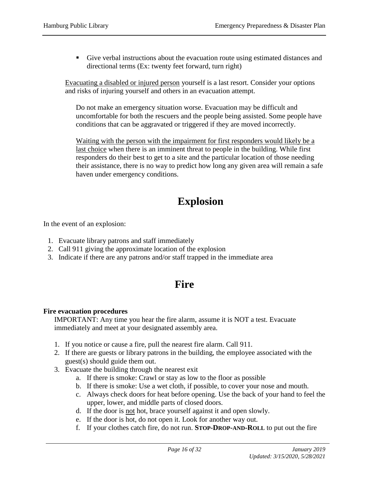Give verbal instructions about the evacuation route using estimated distances and directional terms (Ex: twenty feet forward, turn right)

Evacuating a disabled or injured person yourself is a last resort. Consider your options and risks of injuring yourself and others in an evacuation attempt.

Do not make an emergency situation worse. Evacuation may be difficult and uncomfortable for both the rescuers and the people being assisted. Some people have conditions that can be aggravated or triggered if they are moved incorrectly.

Waiting with the person with the impairment for first responders would likely be a last choice when there is an imminent threat to people in the building. While first responders do their best to get to a site and the particular location of those needing their assistance, there is no way to predict how long any given area will remain a safe haven under emergency conditions.

# **Explosion**

In the event of an explosion:

- 1. Evacuate library patrons and staff immediately
- 2. Call 911 giving the approximate location of the explosion
- <span id="page-15-0"></span>3. Indicate if there are any patrons and/or staff trapped in the immediate area

### **Fire**

#### **Fire evacuation procedures**

IMPORTANT: Any time you hear the fire alarm, assume it is NOT a test. Evacuate immediately and meet at your designated assembly area.

- 1. If you notice or cause a fire, pull the nearest fire alarm. Call 911.
- 2. If there are guests or library patrons in the building, the employee associated with the guest(s) should guide them out.
- 3. Evacuate the building through the nearest exit
	- a. If there is smoke: Crawl or stay as low to the floor as possible
	- b. If there is smoke: Use a wet cloth, if possible, to cover your nose and mouth.
	- c. Always check doors for heat before opening. Use the back of your hand to feel the upper, lower, and middle parts of closed doors.
	- d. If the door is not hot, brace yourself against it and open slowly.
	- e. If the door is hot, do not open it. Look for another way out.
	- f. If your clothes catch fire, do not run. **STOP-DROP-AND-ROLL** to put out the fire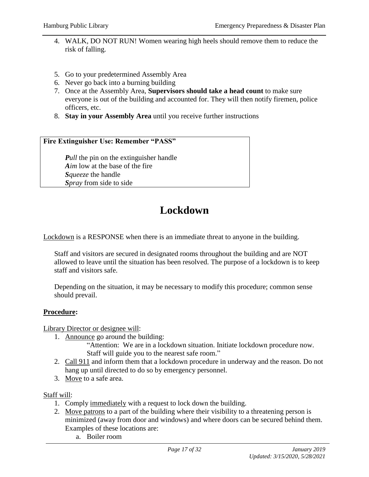- 4. WALK, DO NOT RUN! Women wearing high heels should remove them to reduce the risk of falling.
- 5. Go to your predetermined Assembly Area
- 6. Never go back into a burning building
- 7. Once at the Assembly Area, **Supervisors should take a head count** to make sure everyone is out of the building and accounted for. They will then notify firemen, police officers, etc.
- 8. **Stay in your Assembly Area** until you receive further instructions

#### **Fire Extinguisher Use: Remember "PASS"**

*Pull* the pin on the extinguisher handle *Aim* low at the base of the fire *Squeeze* the handle *Spray* from side to side

### **Lockdown**

<span id="page-16-0"></span>Lockdown is a RESPONSE when there is an immediate threat to anyone in the building.

Staff and visitors are secured in designated rooms throughout the building and are NOT allowed to leave until the situation has been resolved. The purpose of a lockdown is to keep staff and visitors safe.

Depending on the situation, it may be necessary to modify this procedure; common sense should prevail.

#### **Procedure:**

Library Director or designee will:

- 1. Announce go around the building:
	- "Attention: We are in a lockdown situation. Initiate lockdown procedure now. Staff will guide you to the nearest safe room."
- 2. Call 911 and inform them that a lockdown procedure in underway and the reason. Do not hang up until directed to do so by emergency personnel.
- 3. Move to a safe area.

#### Staff will:

- 1. Comply immediately with a request to lock down the building.
- 2. Move patrons to a part of the building where their visibility to a threatening person is minimized (away from door and windows) and where doors can be secured behind them. Examples of these locations are:
	- a. Boiler room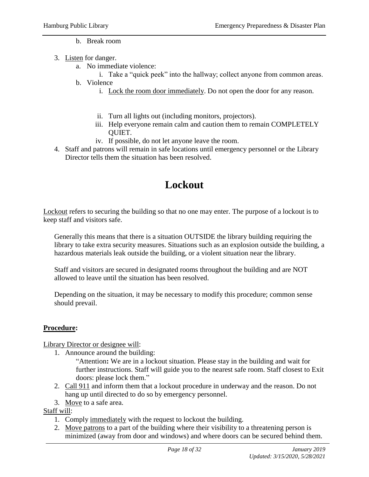#### b. Break room

- 3. Listen for danger.
	- a. No immediate violence:
		- i. Take a "quick peek" into the hallway; collect anyone from common areas.
	- b. Violence
		- i. Lock the room door immediately. Do not open the door for any reason.
		- ii. Turn all lights out (including monitors, projectors).
		- iii. Help everyone remain calm and caution them to remain COMPLETELY QUIET.
		- iv. If possible, do not let anyone leave the room.
- 4. Staff and patrons will remain in safe locations until emergency personnel or the Library Director tells them the situation has been resolved.

### **Lockout**

<span id="page-17-0"></span>Lockout refers to securing the building so that no one may enter. The purpose of a lockout is to keep staff and visitors safe.

Generally this means that there is a situation OUTSIDE the library building requiring the library to take extra security measures. Situations such as an explosion outside the building, a hazardous materials leak outside the building, or a violent situation near the library.

Staff and visitors are secured in designated rooms throughout the building and are NOT allowed to leave until the situation has been resolved.

Depending on the situation, it may be necessary to modify this procedure; common sense should prevail.

#### **Procedure:**

Library Director or designee will:

1. Announce around the building:

"Attention**:** We are in a lockout situation. Please stay in the building and wait for further instructions. Staff will guide you to the nearest safe room. Staff closest to Exit doors: please lock them."

- 2. Call 911 and inform them that a lockout procedure in underway and the reason. Do not hang up until directed to do so by emergency personnel.
- 3. Move to a safe area.

Staff will:

- 1. Comply immediately with the request to lockout the building.
- 2. Move patrons to a part of the building where their visibility to a threatening person is minimized (away from door and windows) and where doors can be secured behind them.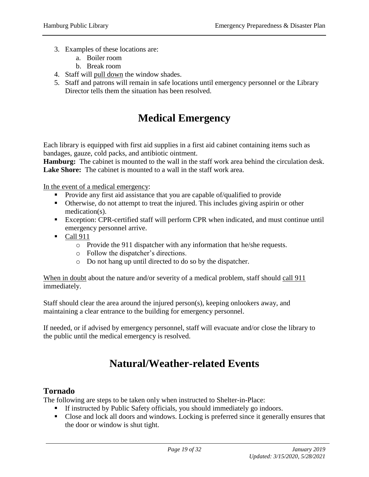- 3. Examples of these locations are:
	- a. Boiler room
	- b. Break room
- 4. Staff will pull down the window shades.
- 5. Staff and patrons will remain in safe locations until emergency personnel or the Library Director tells them the situation has been resolved.

### **Medical Emergency**

<span id="page-18-0"></span>Each library is equipped with first aid supplies in a first aid cabinet containing items such as bandages, gauze, cold packs, and antibiotic ointment.

**Hamburg:** The cabinet is mounted to the wall in the staff work area behind the circulation desk. **Lake Shore:** The cabinet is mounted to a wall in the staff work area.

In the event of a medical emergency:

- Provide any first aid assistance that you are capable of/qualified to provide
- Otherwise, do not attempt to treat the injured. This includes giving aspirin or other medication(s).
- Exception: CPR-certified staff will perform CPR when indicated, and must continue until emergency personnel arrive.
- $\blacksquare$  Call 911
	- o Provide the 911 dispatcher with any information that he/she requests.
	- o Follow the dispatcher's directions.
	- o Do not hang up until directed to do so by the dispatcher.

When in doubt about the nature and/or severity of a medical problem, staff should call 911 immediately.

Staff should clear the area around the injured person(s), keeping onlookers away, and maintaining a clear entrance to the building for emergency personnel.

If needed, or if advised by emergency personnel, staff will evacuate and/or close the library to the public until the medical emergency is resolved.

### **Natural/Weather-related Events**

#### <span id="page-18-1"></span>**Tornado**

The following are steps to be taken only when instructed to Shelter-in-Place:

- If instructed by Public Safety officials, you should immediately go indoors.
- Close and lock all doors and windows. Locking is preferred since it generally ensures that the door or window is shut tight.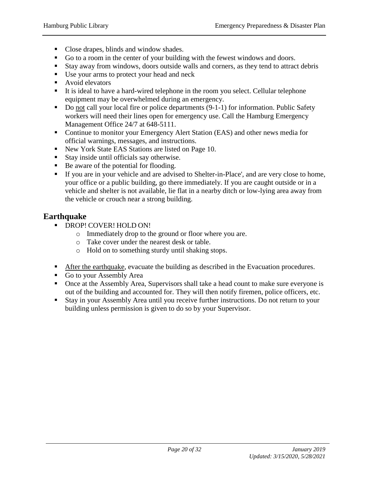- Close drapes, blinds and window shades.
- Go to a room in the center of your building with the fewest windows and doors.
- Stay away from windows, doors outside walls and corners, as they tend to attract debris
- Use your arms to protect your head and neck
- **Avoid elevators**
- It is ideal to have a hard-wired telephone in the room you select. Cellular telephone equipment may be overwhelmed during an emergency.
- Do not call your local fire or police departments (9-1-1) for information. Public Safety workers will need their lines open for emergency use. Call the Hamburg Emergency Management Office 24/7 at 648-5111.
- Continue to monitor your Emergency Alert Station (EAS) and other news media for official warnings, messages, and instructions.
- New York State EAS Stations are listed on Page 10.
- Stay inside until officials say otherwise.
- Be aware of the potential for flooding.
- If you are in your vehicle and are advised to Shelter-in-Place', and are very close to home, your office or a public building, go there immediately. If you are caught outside or in a vehicle and shelter is not available, lie flat in a nearby ditch or low-lying area away from the vehicle or crouch near a strong building.

### **Earthquake**

- **DROP! COVER! HOLD ON!** 
	- o Immediately drop to the ground or floor where you are.
	- o Take cover under the nearest desk or table.
	- o Hold on to something sturdy until shaking stops.
- After the earthquake, evacuate the building as described in the Evacuation procedures.
- Go to your Assembly Area
- Once at the Assembly Area, Supervisors shall take a head count to make sure everyone is out of the building and accounted for. They will then notify firemen, police officers, etc.
- Stay in your Assembly Area until you receive further instructions. Do not return to your building unless permission is given to do so by your Supervisor.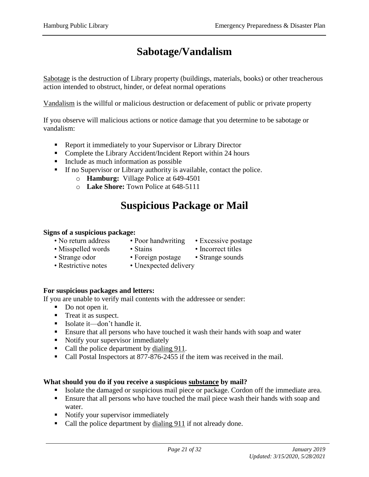# **Sabotage/Vandalism**

<span id="page-20-0"></span>Sabotage is the destruction of Library property (buildings, materials, books) or other treacherous action intended to obstruct, hinder, or defeat normal operations

Vandalism is the willful or malicious destruction or defacement of public or private property

If you observe will malicious actions or notice damage that you determine to be sabotage or vandalism:

- Report it immediately to your Supervisor or Library Director
- Complete the Library Accident/Incident Report within 24 hours
- Include as much information as possible
- If no Supervisor or Library authority is available, contact the police.
	- o **Hamburg:** Village Police at 649-4501
	- o **Lake Shore:** Town Police at 648-5111

### **Suspicious Package or Mail**

#### <span id="page-20-1"></span>**Signs of a suspicious package:**

- No return address Poor handwriting Excessive postage
	-
- Misspelled words Stains Incorrect titles
	-
- 
- 
- Strange odor Foreign postage Strange sounds
- 
- Restrictive notes Unexpected delivery

#### **For suspicious packages and letters:**

If you are unable to verify mail contents with the addressee or sender:

- Do not open it.
- Treat it as suspect.
- Isolate it—don't handle it.
- Ensure that all persons who have touched it wash their hands with soap and water
- Notify your supervisor immediately
- Call the police department by dialing 911.
- Call Postal Inspectors at 877-876-2455 if the item was received in the mail.

#### **What should you do if you receive a suspicious substance by mail?**

- Isolate the damaged or suspicious mail piece or package. Cordon off the immediate area.
- **Ensure that all persons who have touched the mail piece wash their hands with soap and** water.
- Notify your supervisor immediately
- Call the police department by dialing 911 if not already done.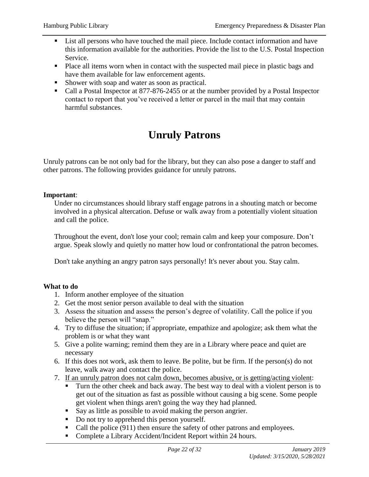- **List all persons who have touched the mail piece. Include contact information and have** this information available for the authorities. Provide the list to the U.S. Postal Inspection Service.
- Place all items worn when in contact with the suspected mail piece in plastic bags and have them available for law enforcement agents.
- Shower with soap and water as soon as practical.
- Call a Postal Inspector at 877-876-2455 or at the number provided by a Postal Inspector contact to report that you've received a letter or parcel in the mail that may contain harmful substances.

# **Unruly Patrons**

<span id="page-21-0"></span>Unruly patrons can be not only bad for the library, but they can also pose a danger to staff and other patrons. The following provides guidance for unruly patrons.

#### **Important**:

Under no circumstances should library staff engage patrons in a shouting match or become involved in a physical altercation. Defuse or walk away from a potentially violent situation and call the police.

Throughout the event, don't lose your cool; remain calm and keep your composure. Don't argue. Speak slowly and quietly no matter how loud or confrontational the patron becomes.

Don't take anything an angry patron says personally! It's never about you. Stay calm.

#### **What to do**

- 1. Inform another employee of the situation
- 2. Get the most senior person available to deal with the situation
- 3. Assess the situation and assess the person's degree of volatility. Call the police if you believe the person will "snap."
- 4. Try to diffuse the situation; if appropriate, empathize and apologize; ask them what the problem is or what they want
- 5. Give a polite warning; remind them they are in a Library where peace and quiet are necessary
- 6. If this does not work, ask them to leave. Be polite, but be firm. If the person(s) do not leave, walk away and contact the police.
- 7. If an unruly patron does not calm down, becomes abusive, or is getting/acting violent:
	- Turn the other cheek and back away. The best way to deal with a violent person is to get out of the situation as fast as possible without causing a big scene. Some people get violent when things aren't going the way they had planned.
	- Say as little as possible to avoid making the person angrier.
	- Do not try to apprehend this person yourself.
	- Call the police  $(911)$  then ensure the safety of other patrons and employees.
	- Complete a Library Accident/Incident Report within 24 hours.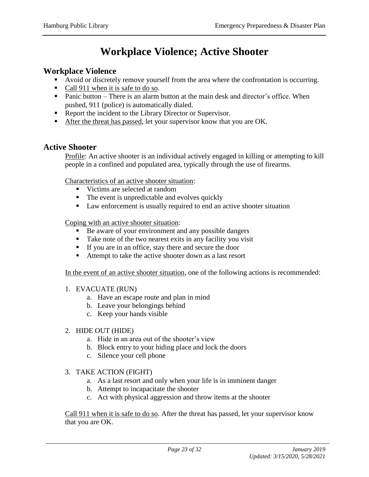# **Workplace Violence; Active Shooter**

#### <span id="page-22-0"></span>**Workplace Violence**

- Avoid or discretely remove yourself from the area where the confrontation is occurring.
- Call 911 when it is safe to do so.
- Panic button There is an alarm button at the main desk and director's office. When pushed, 911 (police) is automatically dialed.
- Report the incident to the Library Director or Supervisor.
- After the threat has passed, let your supervisor know that you are OK.

#### **Active Shooter**

Profile: An active shooter is an individual actively engaged in killing or attempting to kill people in a confined and populated area, typically through the use of firearms.

Characteristics of an active shooter situation:

- Victims are selected at random
- $\blacksquare$  The event is unpredictable and evolves quickly
- Law enforcement is usually required to end an active shooter situation

Coping with an active shooter situation:

- Be aware of your environment and any possible dangers
- Take note of the two nearest exits in any facility you visit
- If you are in an office, stay there and secure the door
- Attempt to take the active shooter down as a last resort

In the event of an active shooter situation, one of the following actions is recommended:

- 1. EVACUATE (RUN)
	- a. Have an escape route and plan in mind
	- b. Leave your belongings behind
	- c. Keep your hands visible

#### 2. HIDE OUT (HIDE)

- a. Hide in an area out of the shooter's view
- b. Block entry to your hiding place and lock the doors
- c. Silence your cell phone
- 3. TAKE ACTION (FIGHT)
	- a. As a last resort and only when your life is in imminent danger
	- b. Attempt to incapacitate the shooter
	- c. Act with physical aggression and throw items at the shooter

Call 911 when it is safe to do so. After the threat has passed, let your supervisor know that you are OK.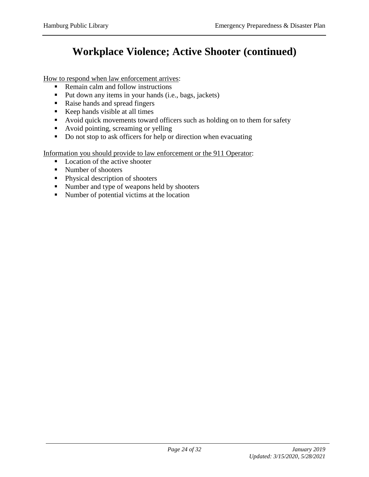# **Workplace Violence; Active Shooter (continued)**

How to respond when law enforcement arrives:

- Remain calm and follow instructions
- Put down any items in your hands (i.e., bags, jackets)
- Raise hands and spread fingers
- Keep hands visible at all times
- Avoid quick movements toward officers such as holding on to them for safety
- Avoid pointing, screaming or yelling
- Do not stop to ask officers for help or direction when evacuating

Information you should provide to law enforcement or the 911 Operator:

- **Location of the active shooter**
- Number of shooters
- **Physical description of shooters**
- Number and type of weapons held by shooters
- Number of potential victims at the location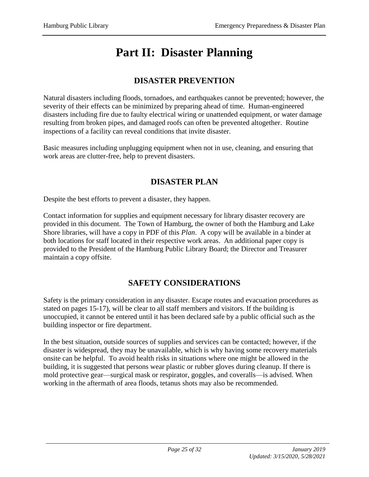# **Part II: Disaster Planning**

### **DISASTER PREVENTION**

Natural disasters including floods, tornadoes, and earthquakes cannot be prevented; however, the severity of their effects can be minimized by preparing ahead of time. Human-engineered disasters including fire due to faulty electrical wiring or unattended equipment, or water damage resulting from broken pipes, and damaged roofs can often be prevented altogether. Routine inspections of a facility can reveal conditions that invite disaster.

Basic measures including unplugging equipment when not in use, cleaning, and ensuring that work areas are clutter-free, help to prevent disasters.

### **DISASTER PLAN**

Despite the best efforts to prevent a disaster, they happen.

Contact information for supplies and equipment necessary for library disaster recovery are provided in this document. The Town of Hamburg, the owner of both the Hamburg and Lake Shore libraries, will have a copy in PDF of this *Plan*. A copy will be available in a binder at both locations for staff located in their respective work areas. An additional paper copy is provided to the President of the Hamburg Public Library Board; the Director and Treasurer maintain a copy offsite.

### **SAFETY CONSIDERATIONS**

Safety is the primary consideration in any disaster. Escape routes and evacuation procedures as stated on pages 15-17), will be clear to all staff members and visitors. If the building is unoccupied, it cannot be entered until it has been declared safe by a public official such as the building inspector or fire department.

In the best situation, outside sources of supplies and services can be contacted; however, if the disaster is widespread, they may be unavailable, which is why having some recovery materials onsite can be helpful. To avoid health risks in situations where one might be allowed in the building, it is suggested that persons wear plastic or rubber gloves during cleanup. If there is mold protective gear—surgical mask or respirator, goggles, and coveralls—is advised. When working in the aftermath of area floods, tetanus shots may also be recommended.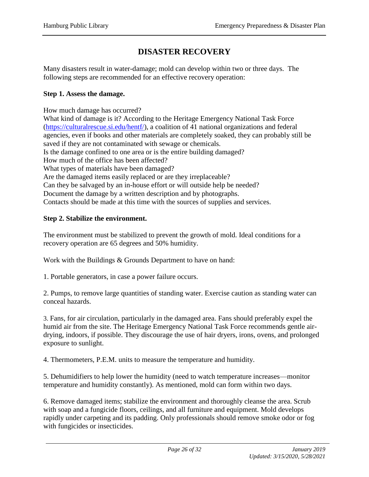### **DISASTER RECOVERY**

Many disasters result in water-damage; mold can develop within two or three days. The following steps are recommended for an effective recovery operation:

#### **Step 1. Assess the damage.**

How much damage has occurred?

What kind of damage is it? According to the Heritage Emergency National Task Force [\(https://culturalrescue.si.edu/hentf/\)](https://culturalrescue.si.edu/hentf/), a coalition of 41 national organizations and federal agencies, even if books and other materials are completely soaked, they can probably still be saved if they are not contaminated with sewage or chemicals. Is the damage confined to one area or is the entire building damaged? How much of the office has been affected? What types of materials have been damaged? Are the damaged items easily replaced or are they irreplaceable? Can they be salvaged by an in-house effort or will outside help be needed? Document the damage by a written description and by photographs. Contacts should be made at this time with the sources of supplies and services.

#### **Step 2. Stabilize the environment.**

The environment must be stabilized to prevent the growth of mold. Ideal conditions for a recovery operation are 65 degrees and 50% humidity.

Work with the Buildings & Grounds Department to have on hand:

1. Portable generators, in case a power failure occurs.

2. Pumps, to remove large quantities of standing water. Exercise caution as standing water can conceal hazards.

3. Fans, for air circulation, particularly in the damaged area. Fans should preferably expel the humid air from the site. The Heritage Emergency National Task Force recommends gentle airdrying, indoors, if possible. They discourage the use of hair dryers, irons, ovens, and prolonged exposure to sunlight.

4. Thermometers, P.E.M. units to measure the temperature and humidity.

5. Dehumidifiers to help lower the humidity (need to watch temperature increases—monitor temperature and humidity constantly). As mentioned, mold can form within two days.

6. Remove damaged items; stabilize the environment and thoroughly cleanse the area. Scrub with soap and a fungicide floors, ceilings, and all furniture and equipment. Mold develops rapidly under carpeting and its padding. Only professionals should remove smoke odor or fog with fungicides or insecticides.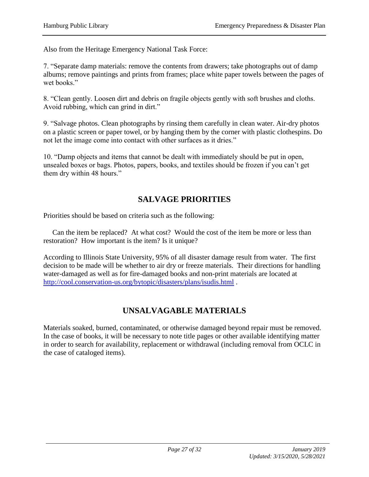Also from the Heritage Emergency National Task Force:

7. "Separate damp materials: remove the contents from drawers; take photographs out of damp albums; remove paintings and prints from frames; place white paper towels between the pages of wet books."

8. "Clean gently. Loosen dirt and debris on fragile objects gently with soft brushes and cloths. Avoid rubbing, which can grind in dirt."

9. "Salvage photos. Clean photographs by rinsing them carefully in clean water. Air-dry photos on a plastic screen or paper towel, or by hanging them by the corner with plastic clothespins. Do not let the image come into contact with other surfaces as it dries."

10. "Damp objects and items that cannot be dealt with immediately should be put in open, unsealed boxes or bags. Photos, papers, books, and textiles should be frozen if you can't get them dry within 48 hours."

### **SALVAGE PRIORITIES**

Priorities should be based on criteria such as the following:

 Can the item be replaced? At what cost? Would the cost of the item be more or less than restoration? How important is the item? Is it unique?

According to Illinois State University, 95% of all disaster damage result from water. The first decision to be made will be whether to air dry or freeze materials. Their directions for handling water-damaged as well as for fire-damaged books and non-print materials are located at <http://cool.conservation-us.org/bytopic/disasters/plans/isudis.html> .

### **UNSALVAGABLE MATERIALS**

Materials soaked, burned, contaminated, or otherwise damaged beyond repair must be removed. In the case of books, it will be necessary to note title pages or other available identifying matter in order to search for availability, replacement or withdrawal (including removal from OCLC in the case of cataloged items).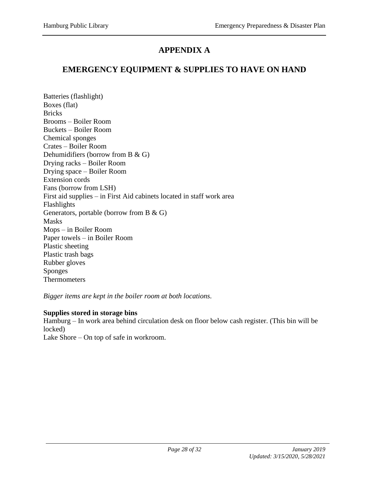### **APPENDIX A**

### **EMERGENCY EQUIPMENT & SUPPLIES TO HAVE ON HAND**

Batteries (flashlight) Boxes (flat) **Bricks** Brooms – Boiler Room Buckets – Boiler Room Chemical sponges Crates – Boiler Room Dehumidifiers (borrow from B & G) Drying racks – Boiler Room Drying space – Boiler Room Extension cords Fans (borrow from LSH) First aid supplies – in First Aid cabinets located in staff work area Flashlights Generators, portable (borrow from B & G) Masks Mops – in Boiler Room Paper towels – in Boiler Room Plastic sheeting Plastic trash bags Rubber gloves Sponges Thermometers

*Bigger items are kept in the boiler room at both locations.* 

#### **Supplies stored in storage bins**

Hamburg – In work area behind circulation desk on floor below cash register. (This bin will be locked) Lake Shore – On top of safe in workroom.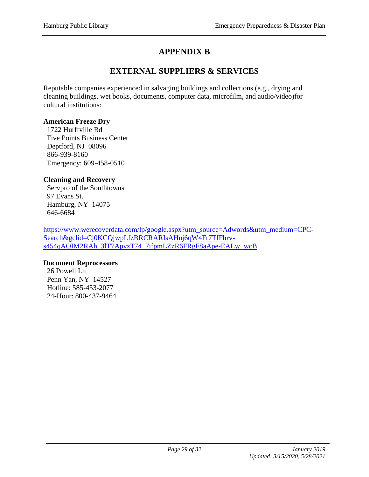### **APPENDIX B**

### **EXTERNAL SUPPLIERS & SERVICES**

Reputable companies experienced in salvaging buildings and collections (e.g., drying and cleaning buildings, wet books, documents, computer data, microfilm, and audio/video)for cultural institutions:

#### **American Freeze Dry**

 1722 Hurffville Rd Five Points Business Center Deptford, NJ 08096 866-939-8160 Emergency: 609-458-0510

#### **Cleaning and Recovery**

 Servpro of the Southtowns 97 Evans St. Hamburg, NY 14075 646-6684

[https://www.werecoverdata.com/lp/google.aspx?utm\\_source=Adwords&utm\\_medium=CPC-](https://www.werecoverdata.com/lp/google.aspx?utm_source=Adwords&utm_medium=CPC-Search&gclid=Cj0KCQjwpLfzBRCRARIsAHuj6qW4Fr7TIFhrv-s454qAOIM2RAh_3lT7ApvzT74_7ifpmLZzR6FRgF8aApe-EALw_wcB)[Search&gclid=Cj0KCQjwpLfzBRCRARIsAHuj6qW4Fr7TIFhrv](https://www.werecoverdata.com/lp/google.aspx?utm_source=Adwords&utm_medium=CPC-Search&gclid=Cj0KCQjwpLfzBRCRARIsAHuj6qW4Fr7TIFhrv-s454qAOIM2RAh_3lT7ApvzT74_7ifpmLZzR6FRgF8aApe-EALw_wcB)[s454qAOIM2RAh\\_3lT7ApvzT74\\_7ifpmLZzR6FRgF8aApe-EALw\\_wcB](https://www.werecoverdata.com/lp/google.aspx?utm_source=Adwords&utm_medium=CPC-Search&gclid=Cj0KCQjwpLfzBRCRARIsAHuj6qW4Fr7TIFhrv-s454qAOIM2RAh_3lT7ApvzT74_7ifpmLZzR6FRgF8aApe-EALw_wcB)

#### **Document Reprocessors**

 26 Powell Ln Penn Yan, NY 14527 Hotline: 585-453-2077 24-Hour: 800-437-9464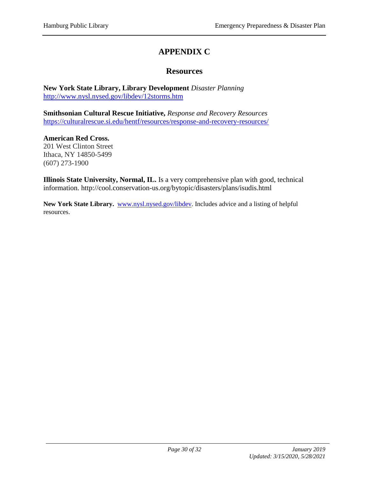### **APPENDIX C**

#### **Resources**

**New York State Library, Library Development** *Disaster Planning* <http://www.nysl.nysed.gov/libdev/12storms.htm>

**Smithsonian Cultural Rescue Initiative,** *Response and Recovery Resources* <https://culturalrescue.si.edu/hentf/resources/response-and-recovery-resources/>

**American Red Cross.**  201 West Clinton Street Ithaca, NY 14850-5499 (607) 273-1900

**Illinois State University, Normal, IL.** Is a very comprehensive plan with good, technical information. http://cool.conservation-us.org/bytopic/disasters/plans/isudis.html

New York State Library. **www.nysl.nysed.gov/libdev**. Includes advice and a listing of helpful resources.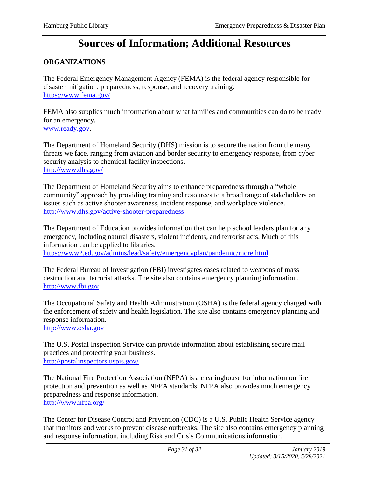### **Sources of Information; Additional Resources**

#### **ORGANIZATIONS**

The Federal Emergency Management Agency (FEMA) is the federal agency responsible for disaster mitigation, preparedness, response, and recovery training. <https://www.fema.gov/>

FEMA also supplies much information about what families and communities can do to be ready for an emergency. [www.ready.gov.](http://www.ready.gov/)

The Department of Homeland Security (DHS) mission is to secure the nation from the many threats we face, ranging from aviation and border security to emergency response, from cyber security analysis to chemical facility inspections. <http://www.dhs.gov/>

The Department of Homeland Security aims to enhance preparedness through a "whole community" approach by providing training and resources to a broad range of stakeholders on issues such as active shooter awareness, incident response, and workplace violence. <http://www.dhs.gov/active-shooter-preparedness>

The Department of Education provides information that can help school leaders plan for any emergency, including natural disasters, violent incidents, and terrorist acts. Much of this information can be applied to libraries.

<https://www2.ed.gov/admins/lead/safety/emergencyplan/pandemic/more.html>

The Federal Bureau of Investigation (FBI) investigates cases related to weapons of mass destruction and terrorist attacks. The site also contains emergency planning information. [http://www.fbi.gov](http://www.fbi.gov/)

The Occupational Safety and Health Administration (OSHA) is the federal agency charged with the enforcement of safety and health legislation. The site also contains emergency planning and response information.

[http://www.osha.gov](http://www.osha.gov/)

The U.S. Postal Inspection Service can provide information about establishing secure mail practices and protecting your business. <http://postalinspectors.uspis.gov/>

The National Fire Protection Association (NFPA) is a clearinghouse for information on fire protection and prevention as well as NFPA standards. NFPA also provides much emergency preparedness and response information. <http://www.nfpa.org/>

The Center for Disease Control and Prevention (CDC) is a U.S. Public Health Service agency that monitors and works to prevent disease outbreaks. The site also contains emergency planning and response information, including Risk and Crisis Communications information.